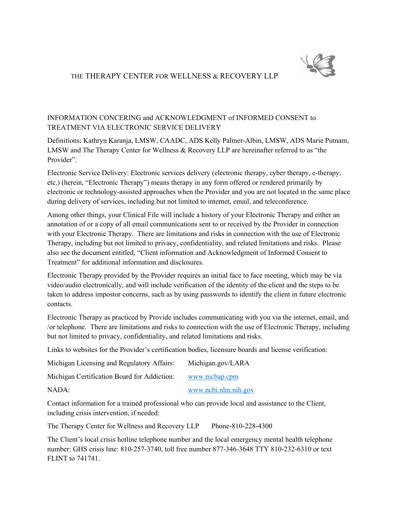

## THE THERAPY CENTER FOR WELLNESS & RECOVERY LLP

## INFORMATION CONCERING and ACKNOWLEDGMENT of INFORMED CONSENT to TREATMENT VIA ELECTRONIC SERVICE DELIVERY

Definitions: Kathryn Karanja, LMSW, CAADC, ADS Kelly Palmer-Albin, LMSW, ADS Marie Putnam, LMSW and The Therapy Center for Wellness & Recovery LLP are hereinafter referred to as "the Provider".

Electronic Service Delivery: Electronic services delivery (electronic therapy, cyber therapy, e-therapy, etc.) (herein, "Electronic Therapy") means therapy in any form offered or rendered primarily by electronic or technology-assisted approaches when the Provider and you are not located in the same place during delivery of services, including but not limited to internet, email, and teleconference.

Among other things, your Clinical File will include a history of your Electronic Therapy and either an annotation of or a copy of all email communications sent to or received by the Provider in connection with your Electronic Therapy. There are limitations and risks in connection with the use of Electronic Therapy, including but not limited to privacy, confidentiality, and related limitations and risks. Please also see the document entitled, "Client information and Acknowledgment of Informed Consent to Treatment" for additional information and disclosures.

Electronic Therapy provided by the Provider requires an initial face to face meeting, which may be via video/audio electronically, and will include verification of the identity of the client and the steps to be taken to address impostor concerns, such as by using passwords to identify the client in future electronic contacts.

Electronic Therapy as practiced by Provide includes communicating with you via the internet, email, and /or telephone. There are limitations and risks to connection with the use of Electronic Therapy, including but not limited to privacy, confidentiality, and related limitations and risks.

Links to websites for the Provider's certification bodies, licensure boards and license verification:

| Michigan Licensing and Regulatory Affairs:  | Michigan.gov/LARA    |
|---------------------------------------------|----------------------|
| Michigan Certification Board for Addiction: | www.mcbap.cpm        |
| NADA:                                       | www.ncbi.nlm.nih.gov |

Contact information for a trained professional who can provide local and assistance to the Client, including crisis intervention, if needed:

The Therapy Center for Wellness and Recovery LLP Phone-810-228-4300

The Client's local crisis hotline telephone number and the local emergency mental health telephone number: GHS crisis line: 810-257-3740, toll free number 877-346-3648 TTY 810-232-6310 or text FLINT to 741741.